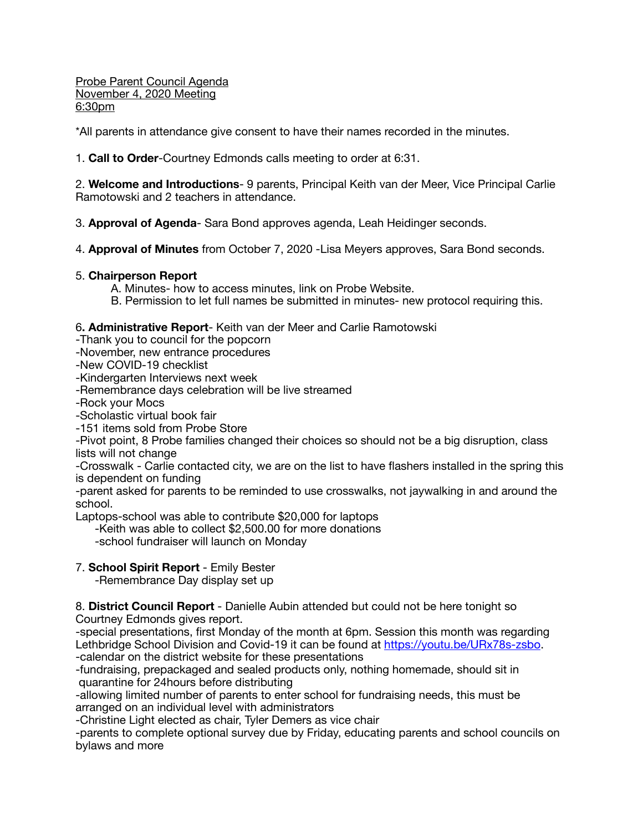Probe Parent Council Agenda November 4, 2020 Meeting 6:30pm

\*All parents in attendance give consent to have their names recorded in the minutes.

1. **Call to Order**-Courtney Edmonds calls meeting to order at 6:31.

2. **Welcome and Introductions**- 9 parents, Principal Keith van der Meer, Vice Principal Carlie Ramotowski and 2 teachers in attendance.

3. **Approval of Agenda**- Sara Bond approves agenda, Leah Heidinger seconds.

4. **Approval of Minutes** from October 7, 2020 -Lisa Meyers approves, Sara Bond seconds.

## 5. **Chairperson Report**

A. Minutes- how to access minutes, link on Probe Website.

B. Permission to let full names be submitted in minutes- new protocol requiring this.

6**. Administrative Report**- Keith van der Meer and Carlie Ramotowski

- -Thank you to council for the popcorn
- -November, new entrance procedures
- -New COVID-19 checklist

-Kindergarten Interviews next week

-Remembrance days celebration will be live streamed

-Rock your Mocs

-Scholastic virtual book fair

-151 items sold from Probe Store

-Pivot point, 8 Probe families changed their choices so should not be a big disruption, class lists will not change

-Crosswalk - Carlie contacted city, we are on the list to have flashers installed in the spring this is dependent on funding

-parent asked for parents to be reminded to use crosswalks, not jaywalking in and around the school.

Laptops-school was able to contribute \$20,000 for laptops

-Keith was able to collect \$2,500.00 for more donations

-school fundraiser will launch on Monday

# 7. **School Spirit Report** - Emily Bester

-Remembrance Day display set up

8. **District Council Report** - Danielle Aubin attended but could not be here tonight so Courtney Edmonds gives report.

-special presentations, first Monday of the month at 6pm. Session this month was regarding Lethbridge School Division and Covid-19 it can be found at [https://youtu.be/URx78s-zsbo.](https://youtu.be/URx78s-zsbo) -calendar on the district website for these presentations

-fundraising, prepackaged and sealed products only, nothing homemade, should sit in quarantine for 24hours before distributing

-allowing limited number of parents to enter school for fundraising needs, this must be arranged on an individual level with administrators

-Christine Light elected as chair, Tyler Demers as vice chair

-parents to complete optional survey due by Friday, educating parents and school councils on bylaws and more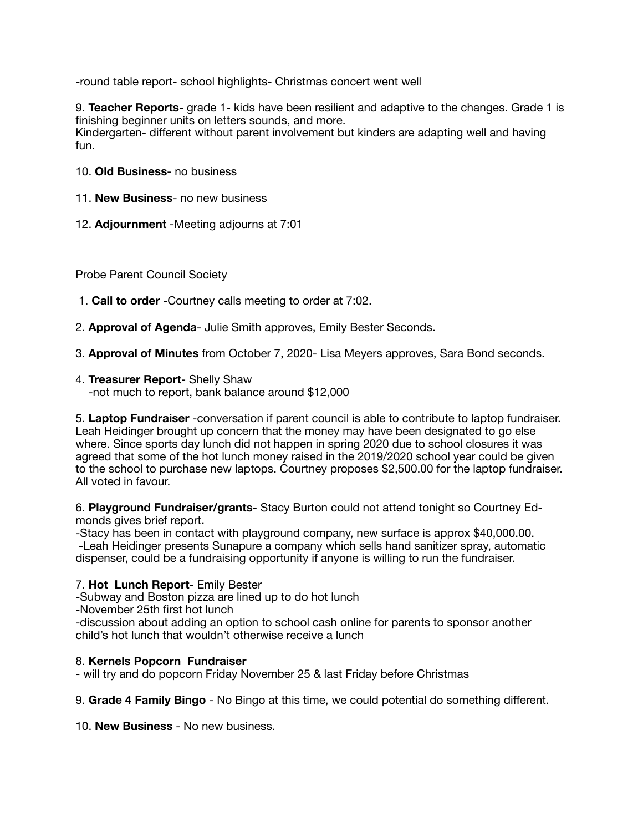-round table report- school highlights- Christmas concert went well

9. **Teacher Reports**- grade 1- kids have been resilient and adaptive to the changes. Grade 1 is finishing beginner units on letters sounds, and more. Kindergarten- different without parent involvement but kinders are adapting well and having fun.

- 10. **Old Business** no business
- 11. **New Business** no new business
- 12. **Adjournment** -Meeting adjourns at 7:01

## Probe Parent Council Society

- 1. **Call to order** -Courtney calls meeting to order at 7:02.
- 2. **Approval of Agenda** Julie Smith approves, Emily Bester Seconds.
- 3. **Approval of Minutes** from October 7, 2020- Lisa Meyers approves, Sara Bond seconds.
- 4. **Treasurer Report** Shelly Shaw

-not much to report, bank balance around \$12,000

5. **Laptop Fundraiser** -conversation if parent council is able to contribute to laptop fundraiser. Leah Heidinger brought up concern that the money may have been designated to go else where. Since sports day lunch did not happen in spring 2020 due to school closures it was agreed that some of the hot lunch money raised in the 2019/2020 school year could be given to the school to purchase new laptops. Courtney proposes \$2,500.00 for the laptop fundraiser. All voted in favour.

6. **Playground Fundraiser/grants**- Stacy Burton could not attend tonight so Courtney Edmonds gives brief report.

-Stacy has been in contact with playground company, new surface is approx \$40,000.00. -Leah Heidinger presents Sunapure a company which sells hand sanitizer spray, automatic dispenser, could be a fundraising opportunity if anyone is willing to run the fundraiser.

## 7. **Hot Lunch Report**- Emily Bester

-Subway and Boston pizza are lined up to do hot lunch

-November 25th first hot lunch

-discussion about adding an option to school cash online for parents to sponsor another child's hot lunch that wouldn't otherwise receive a lunch

## 8. **Kernels Popcorn Fundraiser**

- will try and do popcorn Friday November 25 & last Friday before Christmas

9. **Grade 4 Family Bingo** - No Bingo at this time, we could potential do something different.

10. **New Business** - No new business.